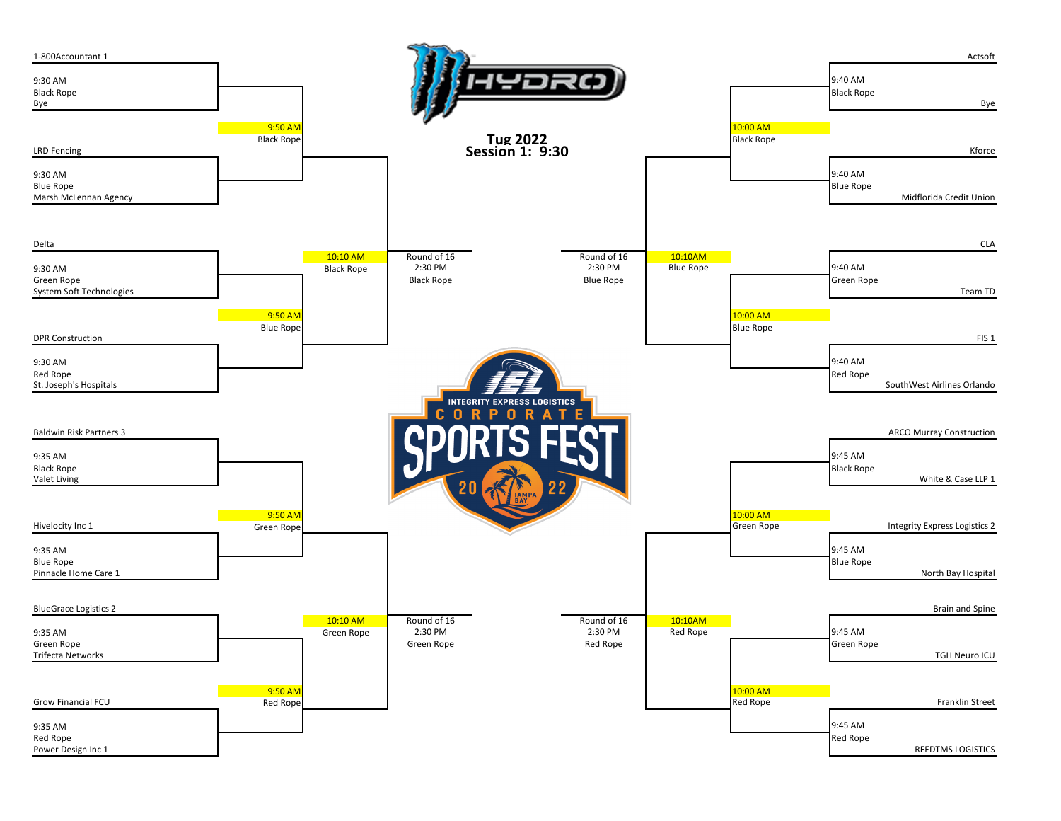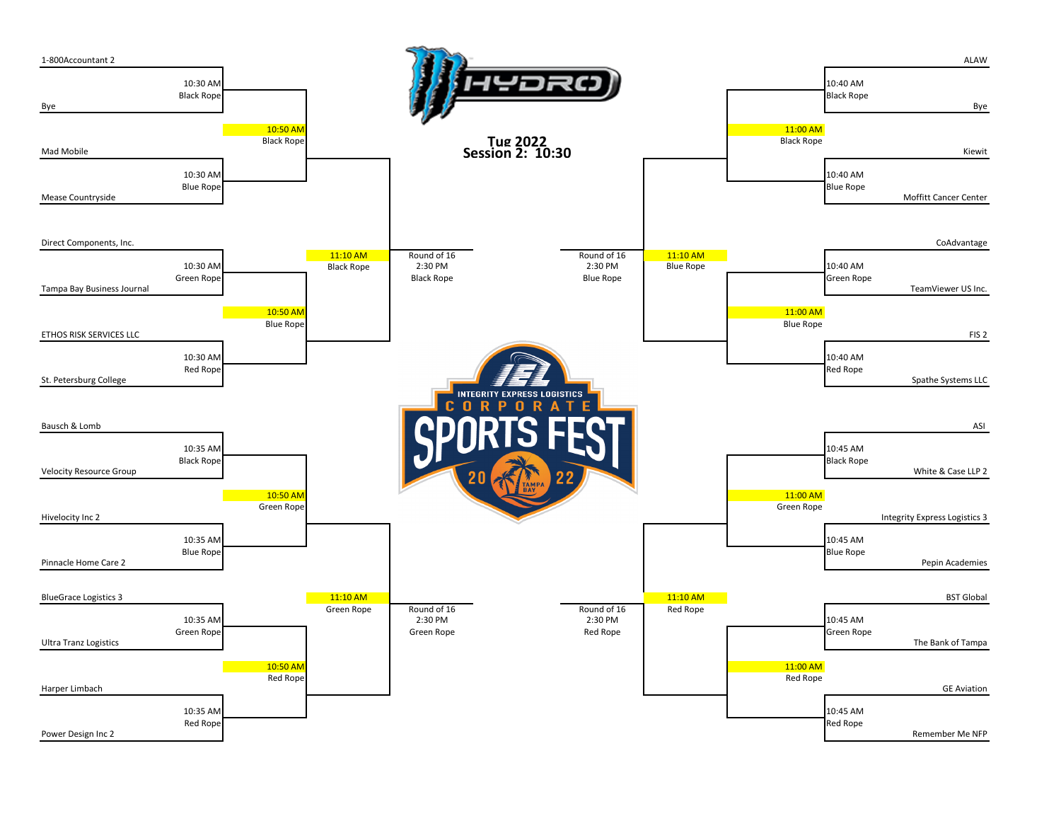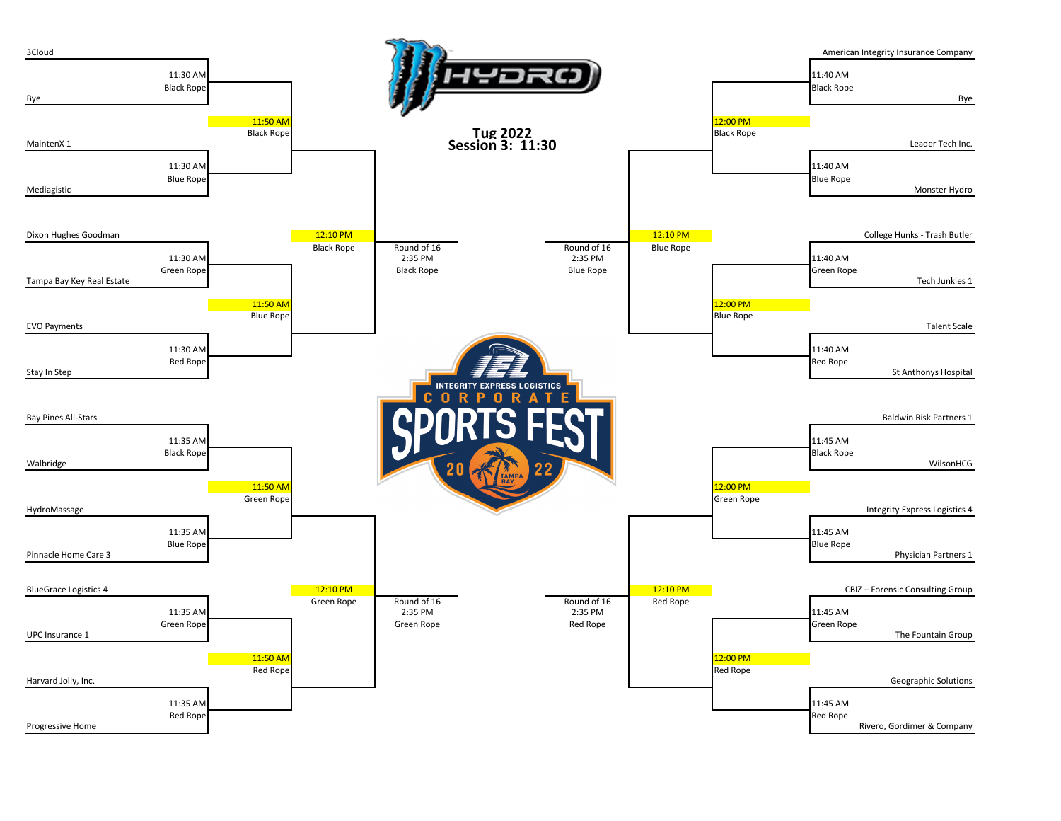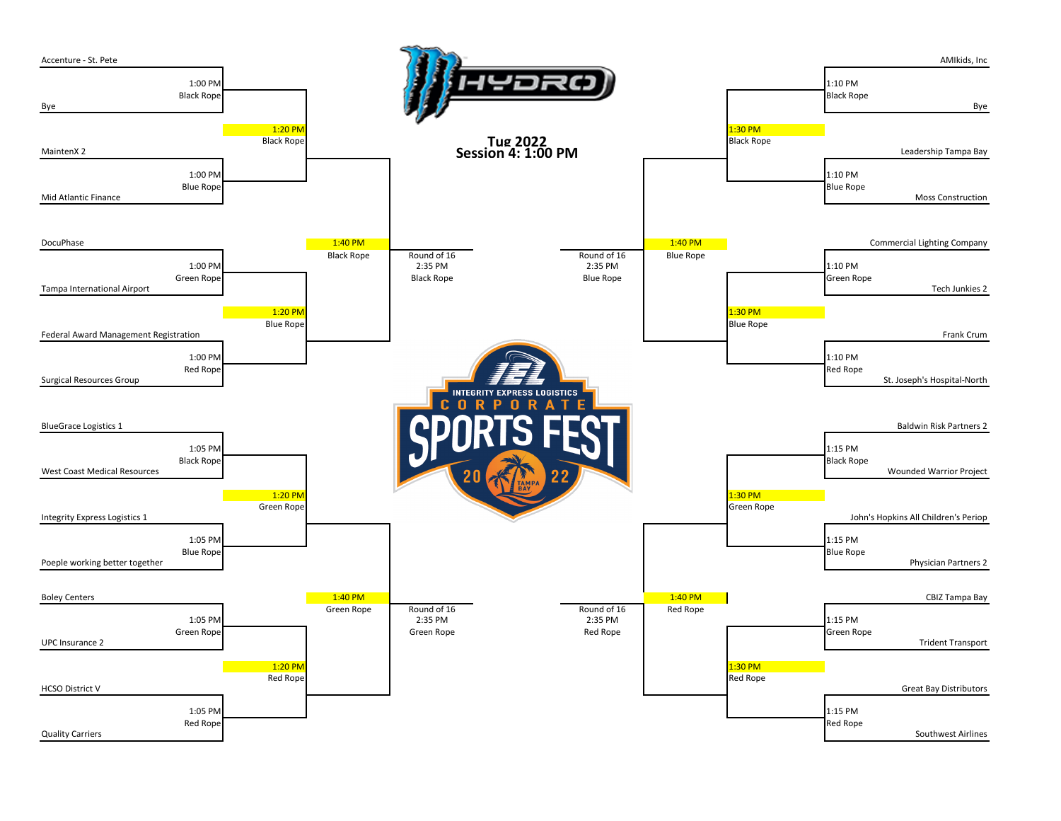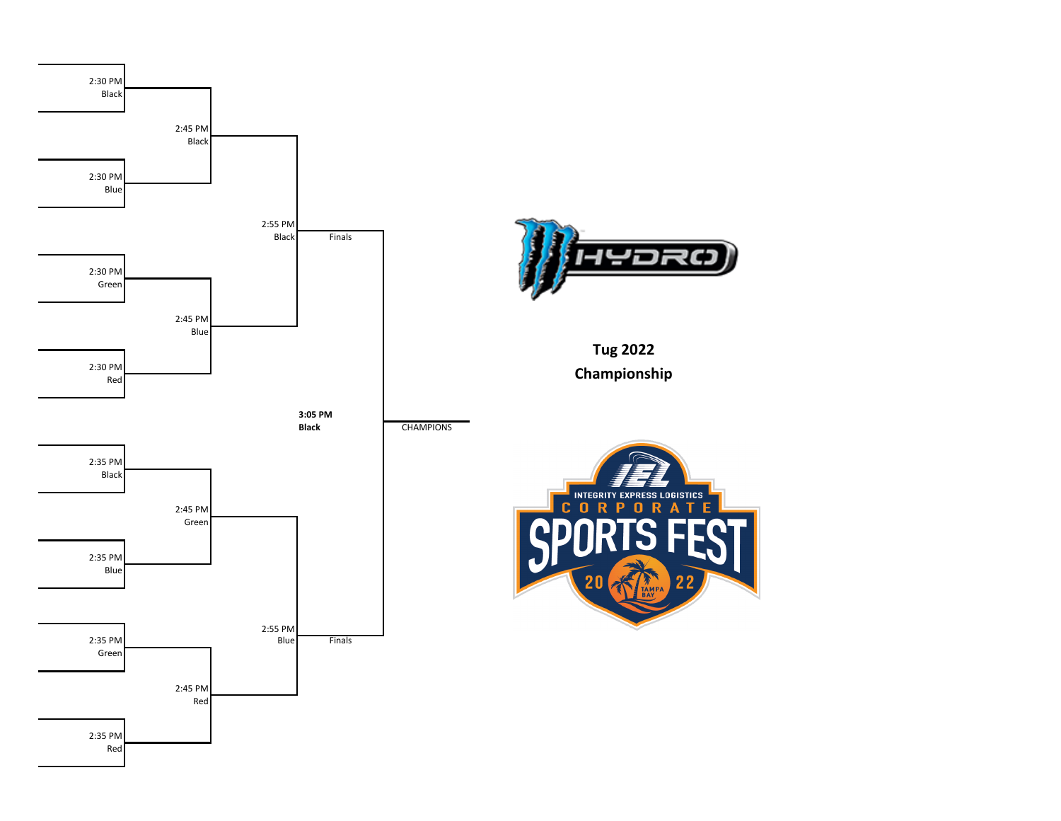



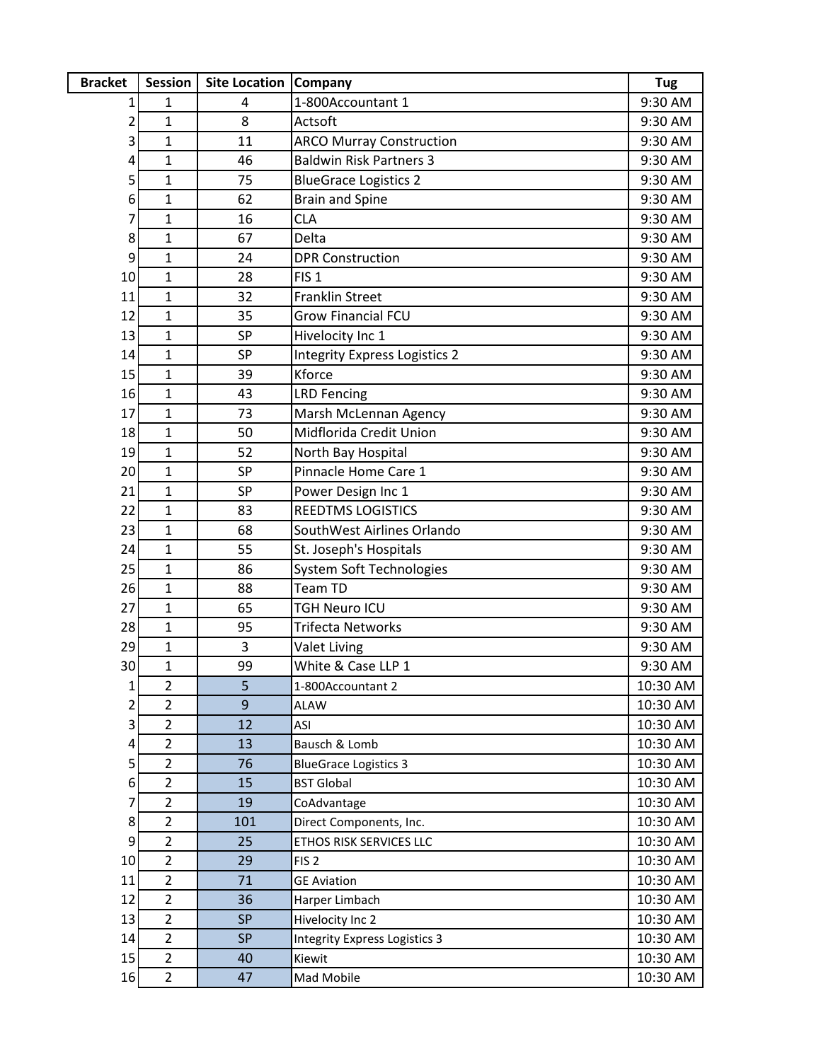| <b>Bracket</b> | <b>Session</b>                   | <b>Site Location Company</b> |                                      | Tug                  |
|----------------|----------------------------------|------------------------------|--------------------------------------|----------------------|
| 1              | 1                                | 4                            | 1-800Accountant 1                    | 9:30 AM              |
| 2              | 1                                | 8                            | Actsoft                              | 9:30 AM              |
| 3              | $\mathbf 1$                      | 11                           | <b>ARCO Murray Construction</b>      | 9:30 AM              |
| 4              | $\mathbf 1$                      | 46                           | <b>Baldwin Risk Partners 3</b>       | 9:30 AM              |
| 5              | $\mathbf{1}$                     | 75                           | <b>BlueGrace Logistics 2</b>         | 9:30 AM              |
| 6              | $\mathbf{1}$                     | 62                           | <b>Brain and Spine</b>               | 9:30 AM              |
| 7              | 1                                | 16                           | <b>CLA</b>                           | 9:30 AM              |
| 8              | $\mathbf{1}$                     | 67                           | Delta                                | 9:30 AM              |
| 9              | $\mathbf{1}$                     | 24                           | <b>DPR Construction</b>              | 9:30 AM              |
| 10             | $\mathbf{1}$                     | 28                           | FIS <sub>1</sub>                     | 9:30 AM              |
| 11             | $\mathbf 1$                      | 32                           | <b>Franklin Street</b>               | 9:30 AM              |
| 12             | $\mathbf 1$                      | 35                           | <b>Grow Financial FCU</b>            | 9:30 AM              |
| 13             | $\mathbf{1}$                     | SP                           | Hivelocity Inc 1                     | 9:30 AM              |
| 14             | $\mathbf 1$                      | <b>SP</b>                    | <b>Integrity Express Logistics 2</b> | 9:30 AM              |
| 15             | $\mathbf{1}$                     | 39                           | Kforce                               | 9:30 AM              |
| 16             | $\mathbf{1}$                     | 43                           | <b>LRD Fencing</b>                   | 9:30 AM              |
| 17             | 1                                | 73                           | Marsh McLennan Agency                | 9:30 AM              |
| 18             | $\mathbf{1}$                     | 50                           | Midflorida Credit Union              | 9:30 AM              |
| 19             | $\mathbf{1}$                     | 52                           | North Bay Hospital                   | 9:30 AM              |
| 20             | $\mathbf{1}$                     | SP                           | Pinnacle Home Care 1                 | 9:30 AM              |
| 21             | 1                                | SP                           | Power Design Inc 1                   | 9:30 AM              |
| 22             | $\mathbf{1}$                     | 83                           | <b>REEDTMS LOGISTICS</b>             | 9:30 AM              |
| 23             | 1                                | 68                           | SouthWest Airlines Orlando           | 9:30 AM              |
| 24             | 1                                | 55                           | St. Joseph's Hospitals               | 9:30 AM              |
| 25             | $\mathbf{1}$                     | 86                           | System Soft Technologies             | 9:30 AM              |
| 26             | $\mathbf 1$                      | 88                           | <b>Team TD</b>                       | 9:30 AM              |
| 27             | $\mathbf{1}$                     | 65                           | TGH Neuro ICU                        | 9:30 AM              |
| 28             | $\mathbf{1}$                     | 95                           | <b>Trifecta Networks</b>             | 9:30 AM              |
| 29             | $\mathbf{1}$                     | 3                            | <b>Valet Living</b>                  | 9:30 AM              |
| 30             | $\mathbf{1}$                     | 99                           | White & Case LLP 1                   | 9:30 AM              |
| $1\vert$       | $\overline{2}$                   | 5                            | 1-800Accountant 2                    | 10:30 AM             |
| 2              | $\overline{2}$                   | 9                            | <b>ALAW</b>                          | 10:30 AM             |
| 3              | $\overline{2}$                   | 12                           | ASI                                  | 10:30 AM             |
| 4              | $\overline{2}$                   | 13                           | Bausch & Lomb                        | 10:30 AM             |
| 5              | $\overline{2}$                   | 76                           | <b>BlueGrace Logistics 3</b>         | 10:30 AM             |
| 6              | $\overline{2}$                   | 15                           | <b>BST Global</b>                    | 10:30 AM             |
| 7              | $\overline{2}$                   | 19                           | CoAdvantage                          | 10:30 AM             |
| 8              | $\overline{2}$                   | 101                          | Direct Components, Inc.              | 10:30 AM             |
| 9              | $\overline{2}$                   | 25                           | ETHOS RISK SERVICES LLC              | 10:30 AM             |
| 10             | $\overline{2}$<br>$\overline{2}$ | 29                           | FIS <sub>2</sub>                     | 10:30 AM             |
| 11<br>12       | $\overline{2}$                   | 71<br>36                     | <b>GE Aviation</b><br>Harper Limbach | 10:30 AM<br>10:30 AM |
| 13             | $\overline{2}$                   | <b>SP</b>                    | Hivelocity Inc 2                     | 10:30 AM             |
| 14             | $\overline{2}$                   | <b>SP</b>                    | Integrity Express Logistics 3        | 10:30 AM             |
| 15             | $\overline{2}$                   | 40                           | Kiewit                               | 10:30 AM             |
| 16             | $\overline{2}$                   | 47                           | Mad Mobile                           | 10:30 AM             |
|                |                                  |                              |                                      |                      |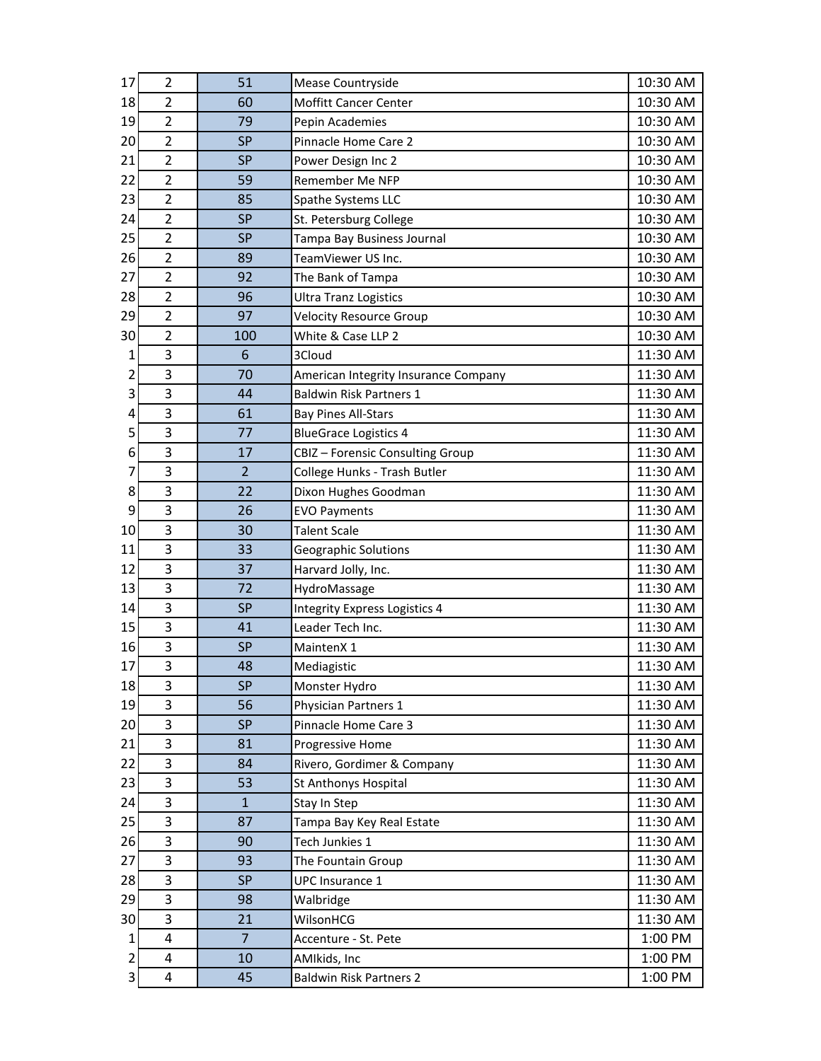| 17 | $\overline{2}$ | 51             | Mease Countryside                    | 10:30 AM |
|----|----------------|----------------|--------------------------------------|----------|
| 18 | 2              | 60             | <b>Moffitt Cancer Center</b>         | 10:30 AM |
| 19 | $\overline{2}$ | 79             | Pepin Academies                      | 10:30 AM |
| 20 | $\overline{2}$ | <b>SP</b>      | Pinnacle Home Care 2                 | 10:30 AM |
| 21 | $\overline{2}$ | <b>SP</b>      | Power Design Inc 2                   | 10:30 AM |
| 22 | $\overline{2}$ | 59             | Remember Me NFP                      | 10:30 AM |
| 23 | $\overline{2}$ | 85             | Spathe Systems LLC                   | 10:30 AM |
| 24 | $\overline{2}$ | <b>SP</b>      | St. Petersburg College               | 10:30 AM |
| 25 | $\overline{2}$ | <b>SP</b>      | Tampa Bay Business Journal           | 10:30 AM |
| 26 | $\overline{2}$ | 89             | TeamViewer US Inc.                   | 10:30 AM |
| 27 | $\overline{2}$ | 92             | The Bank of Tampa                    | 10:30 AM |
| 28 | $\overline{2}$ | 96             | <b>Ultra Tranz Logistics</b>         | 10:30 AM |
| 29 | $\overline{2}$ | 97             | <b>Velocity Resource Group</b>       | 10:30 AM |
| 30 | $\overline{2}$ | 100            | White & Case LLP 2                   | 10:30 AM |
| 1  | 3              | 6              | 3Cloud                               | 11:30 AM |
| 2  | 3              | 70             | American Integrity Insurance Company | 11:30 AM |
| 3  | 3              | 44             | <b>Baldwin Risk Partners 1</b>       | 11:30 AM |
| 4  | 3              | 61             | <b>Bay Pines All-Stars</b>           | 11:30 AM |
| 5  | 3              | 77             | <b>BlueGrace Logistics 4</b>         | 11:30 AM |
| 6  | 3              | 17             | CBIZ - Forensic Consulting Group     | 11:30 AM |
| 7  | 3              | $\overline{2}$ | College Hunks - Trash Butler         | 11:30 AM |
| 8  | 3              | 22             | Dixon Hughes Goodman                 | 11:30 AM |
| 9  | 3              | 26             | <b>EVO Payments</b>                  | 11:30 AM |
| 10 | 3              | 30             | <b>Talent Scale</b>                  | 11:30 AM |
| 11 | 3              | 33             | Geographic Solutions                 | 11:30 AM |
| 12 | 3              | 37             | Harvard Jolly, Inc.                  | 11:30 AM |
| 13 | 3              | 72             | HydroMassage                         | 11:30 AM |
| 14 | 3              | <b>SP</b>      | Integrity Express Logistics 4        | 11:30 AM |
| 15 | 3              | 41             | Leader Tech Inc.                     | 11:30 AM |
| 16 | 3              | <b>SP</b>      | MaintenX 1                           | 11:30 AM |
| 17 | 3              | 48             | Mediagistic                          | 11:30 AM |
| 18 | 3              | <b>SP</b>      | Monster Hydro                        | 11:30 AM |
| 19 | 3              | 56             | Physician Partners 1                 | 11:30 AM |
| 20 | 3              | <b>SP</b>      | Pinnacle Home Care 3                 | 11:30 AM |
| 21 | 3              | 81             | Progressive Home                     | 11:30 AM |
| 22 | 3              | 84             | Rivero, Gordimer & Company           | 11:30 AM |
| 23 | 3              | 53             | St Anthonys Hospital                 | 11:30 AM |
| 24 | 3              | $\mathbf{1}$   | Stay In Step                         | 11:30 AM |
| 25 | 3              | 87             | Tampa Bay Key Real Estate            | 11:30 AM |
| 26 | 3              | 90             | Tech Junkies 1                       | 11:30 AM |
| 27 | 3              | 93             | The Fountain Group                   | 11:30 AM |
| 28 | 3              | <b>SP</b>      | UPC Insurance 1                      | 11:30 AM |
| 29 | 3              | 98             | Walbridge                            | 11:30 AM |
| 30 | 3              | 21             | WilsonHCG                            | 11:30 AM |
| 1  | 4              | $\overline{7}$ | Accenture - St. Pete                 | 1:00 PM  |
| 2  | 4              | 10             | AMIkids, Inc                         | 1:00 PM  |
| 3  | 4              | 45             | <b>Baldwin Risk Partners 2</b>       | 1:00 PM  |